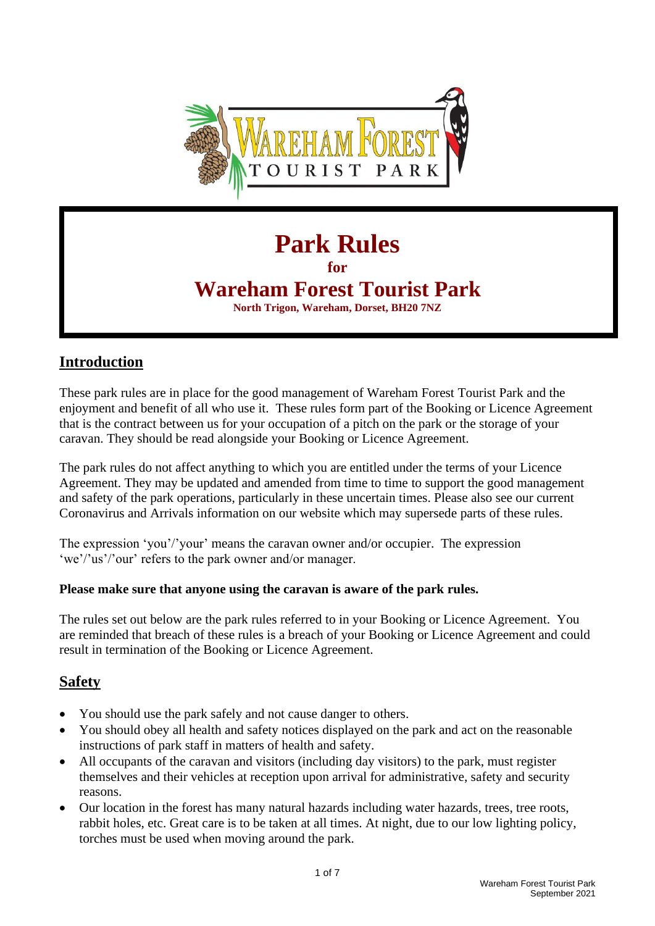

# **Park Rules**

**for** 

## **Wareham Forest Tourist Park**

**North Trigon, Wareham, Dorset, BH20 7NZ**

#### **Introduction**

These park rules are in place for the good management of Wareham Forest Tourist Park and the enjoyment and benefit of all who use it. These rules form part of the Booking or Licence Agreement that is the contract between us for your occupation of a pitch on the park or the storage of your caravan. They should be read alongside your Booking or Licence Agreement.

The park rules do not affect anything to which you are entitled under the terms of your Licence Agreement. They may be updated and amended from time to time to support the good management and safety of the park operations, particularly in these uncertain times. Please also see our current Coronavirus and Arrivals information on our website which may supersede parts of these rules.

The expression 'you'/'your' means the caravan owner and/or occupier. The expression 'we'/'us'/'our' refers to the park owner and/or manager.

#### **Please make sure that anyone using the caravan is aware of the park rules.**

The rules set out below are the park rules referred to in your Booking or Licence Agreement. You are reminded that breach of these rules is a breach of your Booking or Licence Agreement and could result in termination of the Booking or Licence Agreement.

## **Safety**

- You should use the park safely and not cause danger to others.
- You should obey all health and safety notices displayed on the park and act on the reasonable instructions of park staff in matters of health and safety.
- All occupants of the caravan and visitors (including day visitors) to the park, must register themselves and their vehicles at reception upon arrival for administrative, safety and security reasons.
- Our location in the forest has many natural hazards including water hazards, trees, tree roots, rabbit holes, etc. Great care is to be taken at all times. At night, due to our low lighting policy, torches must be used when moving around the park.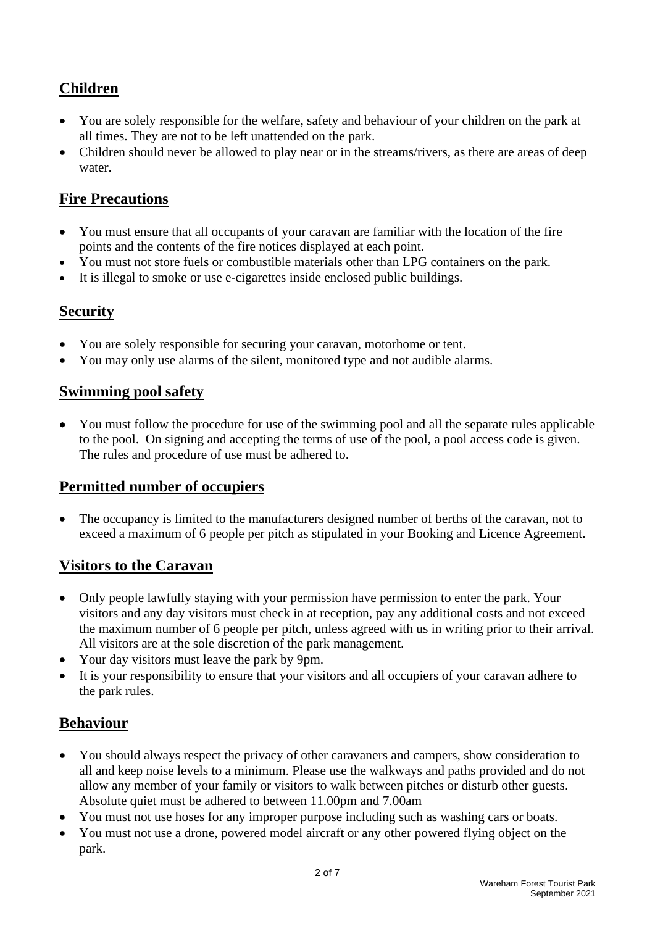## **Children**

- You are solely responsible for the welfare, safety and behaviour of your children on the park at all times. They are not to be left unattended on the park.
- Children should never be allowed to play near or in the streams/rivers, as there are areas of deep water.

## **Fire Precautions**

- You must ensure that all occupants of your caravan are familiar with the location of the fire points and the contents of the fire notices displayed at each point.
- You must not store fuels or combustible materials other than LPG containers on the park.
- It is illegal to smoke or use e-cigarettes inside enclosed public buildings.

#### **Security**

- You are solely responsible for securing your caravan, motorhome or tent.
- You may only use alarms of the silent, monitored type and not audible alarms.

#### **Swimming pool safety**

• You must follow the procedure for use of the swimming pool and all the separate rules applicable to the pool. On signing and accepting the terms of use of the pool, a pool access code is given. The rules and procedure of use must be adhered to.

#### **Permitted number of occupiers**

• The occupancy is limited to the manufacturers designed number of berths of the caravan, not to exceed a maximum of 6 people per pitch as stipulated in your Booking and Licence Agreement.

#### **Visitors to the Caravan**

- Only people lawfully staying with your permission have permission to enter the park. Your visitors and any day visitors must check in at reception, pay any additional costs and not exceed the maximum number of 6 people per pitch, unless agreed with us in writing prior to their arrival. All visitors are at the sole discretion of the park management.
- Your day visitors must leave the park by 9pm.
- It is your responsibility to ensure that your visitors and all occupiers of your caravan adhere to the park rules.

#### **Behaviour**

- You should always respect the privacy of other caravaners and campers, show consideration to all and keep noise levels to a minimum. Please use the walkways and paths provided and do not allow any member of your family or visitors to walk between pitches or disturb other guests. Absolute quiet must be adhered to between 11.00pm and 7.00am
- You must not use hoses for any improper purpose including such as washing cars or boats.
- You must not use a drone, powered model aircraft or any other powered flying object on the park.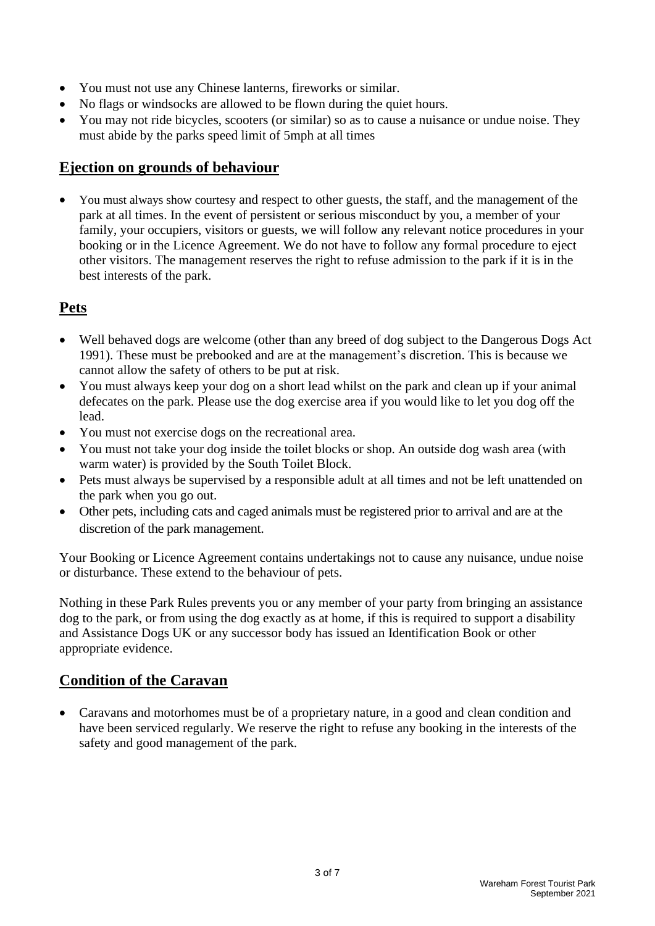- You must not use any Chinese lanterns, fireworks or similar.
- No flags or windsocks are allowed to be flown during the quiet hours.
- You may not ride bicycles, scooters (or similar) so as to cause a nuisance or undue noise. They must abide by the parks speed limit of 5mph at all times

#### **Ejection on grounds of behaviour**

• You must always show courtesy and respect to other guests, the staff, and the management of the park at all times. In the event of persistent or serious misconduct by you, a member of your family, your occupiers, visitors or guests, we will follow any relevant notice procedures in your booking or in the Licence Agreement. We do not have to follow any formal procedure to eject other visitors. The management reserves the right to refuse admission to the park if it is in the best interests of the park.

#### **Pets**

- Well behaved dogs are welcome (other than any breed of dog subject to the Dangerous Dogs Act 1991). These must be prebooked and are at the management's discretion. This is because we cannot allow the safety of others to be put at risk.
- You must always keep your dog on a short lead whilst on the park and clean up if your animal defecates on the park. Please use the dog exercise area if you would like to let you dog off the lead.
- You must not exercise dogs on the recreational area.
- You must not take your dog inside the toilet blocks or shop. An outside dog wash area (with warm water) is provided by the South Toilet Block.
- Pets must always be supervised by a responsible adult at all times and not be left unattended on the park when you go out.
- Other pets, including cats and caged animals must be registered prior to arrival and are at the discretion of the park management.

Your Booking or Licence Agreement contains undertakings not to cause any nuisance, undue noise or disturbance. These extend to the behaviour of pets.

Nothing in these Park Rules prevents you or any member of your party from bringing an assistance dog to the park, or from using the dog exactly as at home, if this is required to support a disability and Assistance Dogs UK or any successor body has issued an Identification Book or other appropriate evidence.

#### **Condition of the Caravan**

• Caravans and motorhomes must be of a proprietary nature, in a good and clean condition and have been serviced regularly. We reserve the right to refuse any booking in the interests of the safety and good management of the park.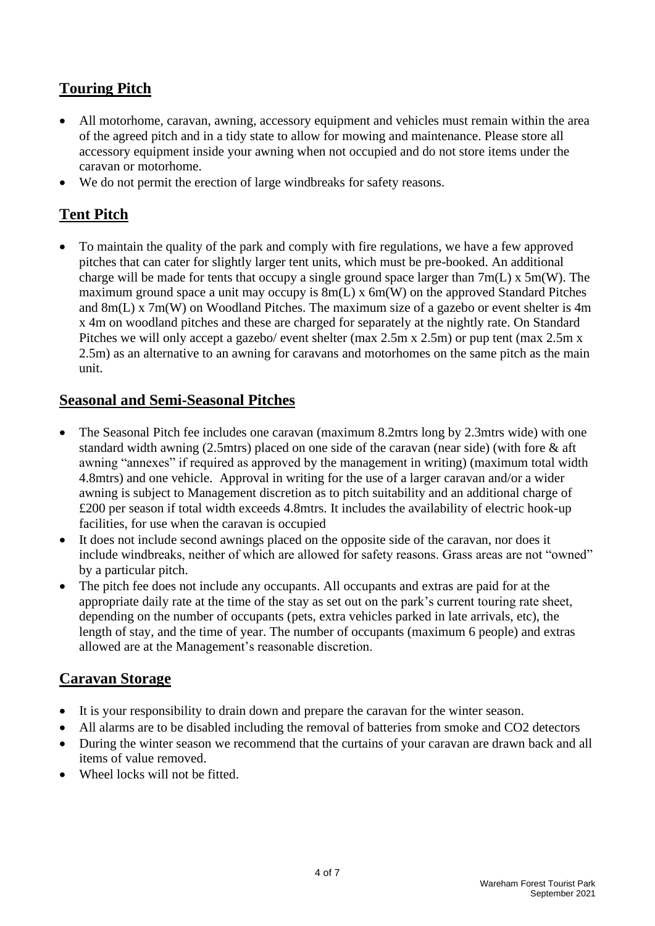## **Touring Pitch**

- All motorhome, caravan, awning, accessory equipment and vehicles must remain within the area of the agreed pitch and in a tidy state to allow for mowing and maintenance. Please store all accessory equipment inside your awning when not occupied and do not store items under the caravan or motorhome.
- We do not permit the erection of large windbreaks for safety reasons.

## **Tent Pitch**

• To maintain the quality of the park and comply with fire regulations, we have a few approved pitches that can cater for slightly larger tent units, which must be pre-booked. An additional charge will be made for tents that occupy a single ground space larger than  $7m(L)$  x  $5m(W)$ . The maximum ground space a unit may occupy is 8m(L) x 6m(W) on the approved Standard Pitches and 8m(L) x 7m(W) on Woodland Pitches. The maximum size of a gazebo or event shelter is 4m x 4m on woodland pitches and these are charged for separately at the nightly rate. On Standard Pitches we will only accept a gazebo/ event shelter (max 2.5m x 2.5m) or pup tent (max 2.5m x 2.5m) as an alternative to an awning for caravans and motorhomes on the same pitch as the main unit.

#### **Seasonal and Semi-Seasonal Pitches**

- The Seasonal Pitch fee includes one caravan (maximum 8.2mtrs long by 2.3mtrs wide) with one standard width awning (2.5mtrs) placed on one side of the caravan (near side) (with fore & aft awning "annexes" if required as approved by the management in writing) (maximum total width 4.8mtrs) and one vehicle. Approval in writing for the use of a larger caravan and/or a wider awning is subject to Management discretion as to pitch suitability and an additional charge of £200 per season if total width exceeds 4.8mtrs. It includes the availability of electric hook-up facilities, for use when the caravan is occupied
- It does not include second awnings placed on the opposite side of the caravan, nor does it include windbreaks, neither of which are allowed for safety reasons. Grass areas are not "owned" by a particular pitch.
- The pitch fee does not include any occupants. All occupants and extras are paid for at the appropriate daily rate at the time of the stay as set out on the park's current touring rate sheet, depending on the number of occupants (pets, extra vehicles parked in late arrivals, etc), the length of stay, and the time of year. The number of occupants (maximum 6 people) and extras allowed are at the Management's reasonable discretion.

## **Caravan Storage**

- It is your responsibility to drain down and prepare the caravan for the winter season.
- All alarms are to be disabled including the removal of batteries from smoke and CO2 detectors
- During the winter season we recommend that the curtains of your caravan are drawn back and all items of value removed.
- Wheel locks will not be fitted.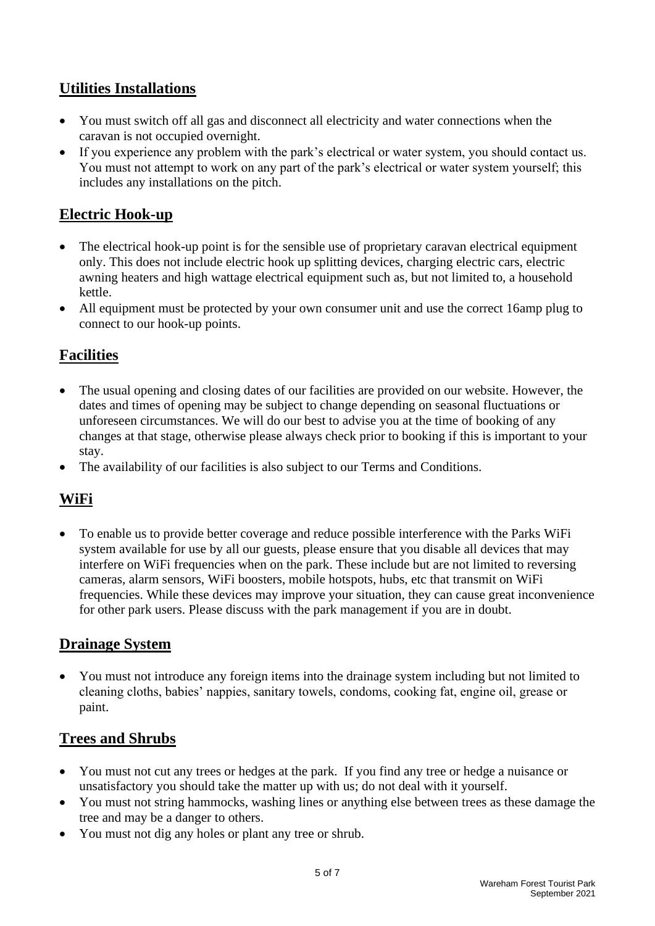## **Utilities Installations**

- You must switch off all gas and disconnect all electricity and water connections when the caravan is not occupied overnight.
- If you experience any problem with the park's electrical or water system, you should contact us. You must not attempt to work on any part of the park's electrical or water system yourself; this includes any installations on the pitch.

## **Electric Hook-up**

- The electrical hook-up point is for the sensible use of proprietary caravan electrical equipment only. This does not include electric hook up splitting devices, charging electric cars, electric awning heaters and high wattage electrical equipment such as, but not limited to, a household kettle.
- All equipment must be protected by your own consumer unit and use the correct 16amp plug to connect to our hook-up points.

## **Facilities**

- The usual opening and closing dates of our facilities are provided on our website. However, the dates and times of opening may be subject to change depending on seasonal fluctuations or unforeseen circumstances. We will do our best to advise you at the time of booking of any changes at that stage, otherwise please always check prior to booking if this is important to your stay.
- The availability of our facilities is also subject to our Terms and Conditions.

## **WiFi**

• To enable us to provide better coverage and reduce possible interference with the Parks WiFi system available for use by all our guests, please ensure that you disable all devices that may interfere on WiFi frequencies when on the park. These include but are not limited to reversing cameras, alarm sensors, WiFi boosters, mobile hotspots, hubs, etc that transmit on WiFi frequencies. While these devices may improve your situation, they can cause great inconvenience for other park users. Please discuss with the park management if you are in doubt.

#### **Drainage System**

• You must not introduce any foreign items into the drainage system including but not limited to cleaning cloths, babies' nappies, sanitary towels, condoms, cooking fat, engine oil, grease or paint.

#### **Trees and Shrubs**

- You must not cut any trees or hedges at the park. If you find any tree or hedge a nuisance or unsatisfactory you should take the matter up with us; do not deal with it yourself.
- You must not string hammocks, washing lines or anything else between trees as these damage the tree and may be a danger to others.
- You must not dig any holes or plant any tree or shrub.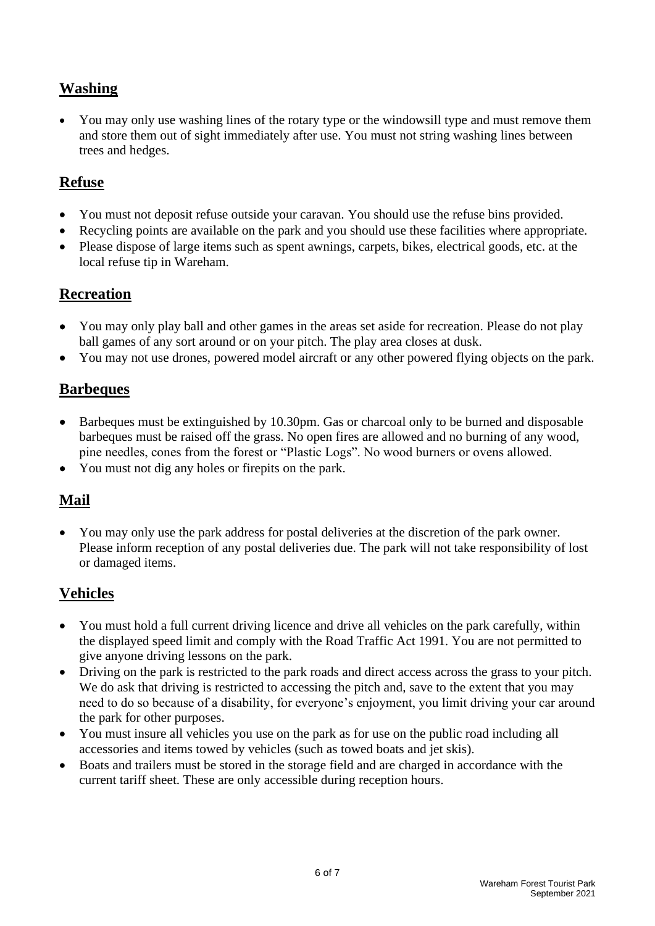## **Washing**

• You may only use washing lines of the rotary type or the windowsill type and must remove them and store them out of sight immediately after use. You must not string washing lines between trees and hedges.

#### **Refuse**

- You must not deposit refuse outside your caravan. You should use the refuse bins provided.
- Recycling points are available on the park and you should use these facilities where appropriate.
- Please dispose of large items such as spent awnings, carpets, bikes, electrical goods, etc. at the local refuse tip in Wareham.

#### **Recreation**

- You may only play ball and other games in the areas set aside for recreation. Please do not play ball games of any sort around or on your pitch. The play area closes at dusk.
- You may not use drones, powered model aircraft or any other powered flying objects on the park.

#### **Barbeques**

- Barbeques must be extinguished by 10.30pm. Gas or charcoal only to be burned and disposable barbeques must be raised off the grass. No open fires are allowed and no burning of any wood, pine needles, cones from the forest or "Plastic Logs". No wood burners or ovens allowed.
- You must not dig any holes or firepits on the park.

## **Mail**

• You may only use the park address for postal deliveries at the discretion of the park owner. Please inform reception of any postal deliveries due. The park will not take responsibility of lost or damaged items.

#### **Vehicles**

- You must hold a full current driving licence and drive all vehicles on the park carefully, within the displayed speed limit and comply with the Road Traffic Act 1991. You are not permitted to give anyone driving lessons on the park.
- Driving on the park is restricted to the park roads and direct access across the grass to your pitch. We do ask that driving is restricted to accessing the pitch and, save to the extent that you may need to do so because of a disability, for everyone's enjoyment, you limit driving your car around the park for other purposes.
- You must insure all vehicles you use on the park as for use on the public road including all accessories and items towed by vehicles (such as towed boats and jet skis).
- Boats and trailers must be stored in the storage field and are charged in accordance with the current tariff sheet. These are only accessible during reception hours.